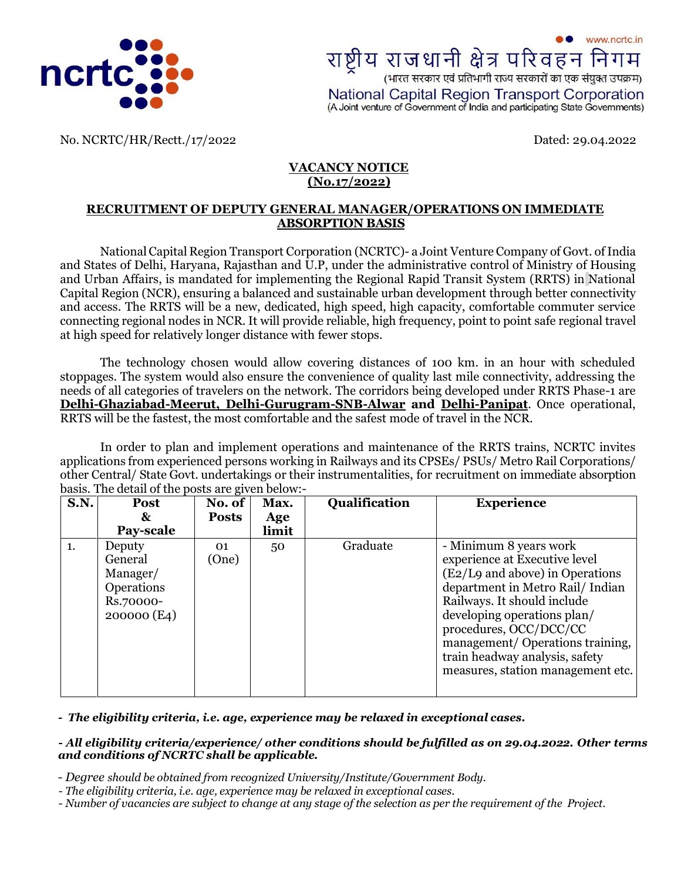

www.ncrtc.in राष्ट्रीय राजधानी क्षेत्र परिवहन निगम<br>(भारत सरकार एवं प्रतिभागी राज्य सरकारों का एक संयुक्त उपक्रम) National Capital Region Transport Corporation (A Joint venture of Government of India and participating State Governments)

No. NCRTC/HR/Rectt./17/2022 Dated: 29.04.2022

#### **VACANCY NOTICE (No.17/2022)**

#### **RECRUITMENT OF DEPUTY GENERAL MANAGER/OPERATIONS ON IMMEDIATE ABSORPTION BASIS**

National Capital Region Transport Corporation (NCRTC)- a Joint Venture Company of Govt. of India and States of Delhi, Haryana, Rajasthan and U.P, under the administrative control of Ministry of Housing and Urban Affairs, is mandated for implementing the Regional Rapid Transit System (RRTS) in National Capital Region (NCR), ensuring a balanced and sustainable urban development through better connectivity and access. The RRTS will be a new, dedicated, high speed, high capacity, comfortable commuter service connecting regional nodes in NCR. It will provide reliable, high frequency, point to point safe regional travel at high speed for relatively longer distance with fewer stops.

The technology chosen would allow covering distances of 100 km. in an hour with scheduled stoppages. The system would also ensure the convenience of quality last mile connectivity, addressing the needs of all categories of travelers on the network. The corridors being developed under RRTS Phase-1 are **Delhi-Ghaziabad-Meerut, Delhi-Gurugram-SNB-Alwar and Delhi-Panipat**. Once operational, RRTS will be the fastest, the most comfortable and the safest mode of travel in the NCR.

In order to plan and implement operations and maintenance of the RRTS trains, NCRTC invites applications from experienced persons working in Railways and its CPSEs/ PSUs/ Metro Rail Corporations/ other Central/ State Govt. undertakings or their instrumentalities, for recruitment on immediate absorption basis. The detail of the posts are given below:-

|    | No. of<br>Max.                                                                       | Qualification         | <b>Experience</b>                                                                                                                                                                                                                                                                                                               |
|----|--------------------------------------------------------------------------------------|-----------------------|---------------------------------------------------------------------------------------------------------------------------------------------------------------------------------------------------------------------------------------------------------------------------------------------------------------------------------|
| &  | Age                                                                                  |                       |                                                                                                                                                                                                                                                                                                                                 |
|    | limit                                                                                |                       |                                                                                                                                                                                                                                                                                                                                 |
| 01 | 50                                                                                   | Graduate              | - Minimum 8 years work<br>experience at Executive level<br>(E2/L9 and above) in Operations<br>department in Metro Rail/Indian<br>Railways. It should include<br>developing operations plan/<br>procedures, OCC/DCC/CC<br>management/Operations training,<br>train headway analysis, safety<br>measures, station management etc. |
|    | Pay-scale<br>Deputy<br>General<br>Manager/<br>Operations<br>Rs.70000-<br>200000 (E4) | <b>Posts</b><br>(One) |                                                                                                                                                                                                                                                                                                                                 |

*- The eligibility criteria, i.e. age, experience may be relaxed in exceptional cases.* 

#### *- All eligibility criteria/experience/ other conditions should be fulfilled as on 29.04.2022. Other terms and conditions of NCRTC shall be applicable.*

 *- Degree should be obtained from recognized University/Institute/Government Body.*

 *- The eligibility criteria, i.e. age, experience may be relaxed in exceptional cases.*

- Number of vacancies are subject to change at any stage of the selection as per the requirement of the Project.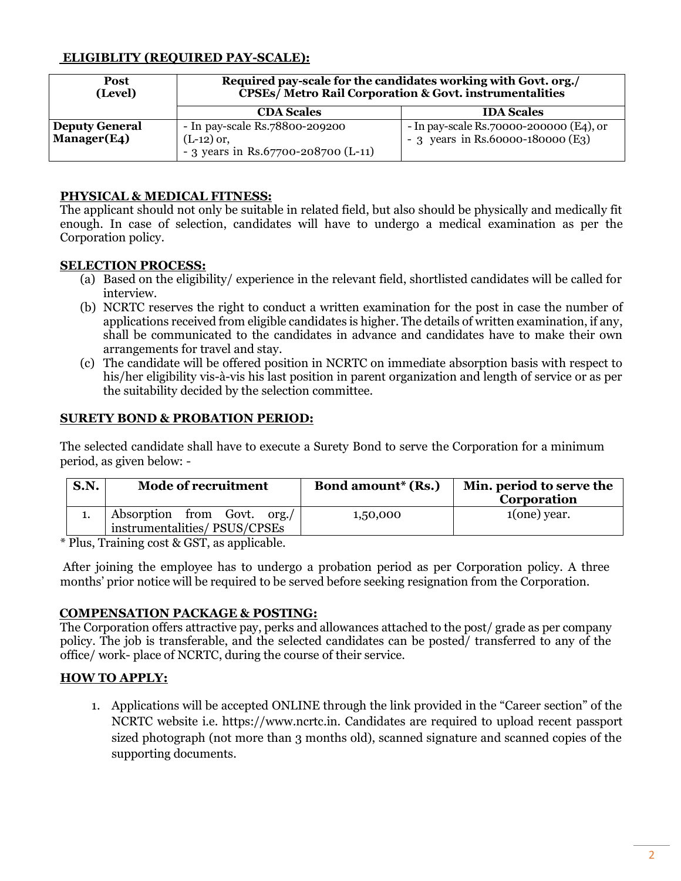## **ELIGIBLITY (REQUIRED PAY-SCALE):**

| <b>Post</b><br>(Level)      | Required pay-scale for the candidates working with Govt. org./<br><b>CPSEs/ Metro Rail Corporation &amp; Govt. instrumentalities</b> |                                         |  |
|-----------------------------|--------------------------------------------------------------------------------------------------------------------------------------|-----------------------------------------|--|
|                             | <b>CDA Scales</b>                                                                                                                    | <b>IDA Scales</b>                       |  |
| Deputy General              | - In pay-scale Rs.78800-209200                                                                                                       | - In pay-scale Rs.70000-200000 (E4), or |  |
| Manager(E4)<br>$(L-12)$ or, |                                                                                                                                      | - 3 years in Rs.60000-180000 (E3)       |  |
|                             | - 3 years in Rs.67700-208700 (L-11)                                                                                                  |                                         |  |

### **PHYSICAL & MEDICAL FITNESS:**

The applicant should not only be suitable in related field, but also should be physically and medically fit enough. In case of selection, candidates will have to undergo a medical examination as per the Corporation policy.

#### **SELECTION PROCESS:**

- (a) Based on the eligibility/ experience in the relevant field, shortlisted candidates will be called for interview.
- (b) NCRTC reserves the right to conduct a written examination for the post in case the number of applications received from eligible candidates is higher. The details of written examination, if any, shall be communicated to the candidates in advance and candidates have to make their own arrangements for travel and stay.
- (c) The candidate will be offered position in NCRTC on immediate absorption basis with respect to his/her eligibility vis-à-vis his last position in parent organization and length of service or as per the suitability decided by the selection committee.

#### **SURETY BOND & PROBATION PERIOD:**

The selected candidate shall have to execute a Surety Bond to serve the Corporation for a minimum period, as given below: -

| <b>S.N.</b> | <b>Mode of recruitment</b>                                  | Bond amount* (Rs.) | Min. period to serve the<br>Corporation |
|-------------|-------------------------------------------------------------|--------------------|-----------------------------------------|
|             | Absorption from Govt. org./<br>instrumentalities/PSUS/CPSEs | 1,50,000           | $1(one)$ year.                          |

\* Plus, Training cost & GST, as applicable.

After joining the employee has to undergo a probation period as per Corporation policy. A three months' prior notice will be required to be served before seeking resignation from the Corporation.

#### **COMPENSATION PACKAGE & POSTING:**

The Corporation offers attractive pay, perks and allowances attached to the post/ grade as per company policy. The job is transferable, and the selected candidates can be posted/ transferred to any of the office/ work- place of NCRTC, during the course of their service.

## **HOW TO APPLY:**

1. Applications will be accepted ONLINE through the link provided in the "Career section" of the NCRTC website i.e. https:/[/www.ncrtc.in. C](http://www.ncrtc.in/)andidates are required to upload recent passport sized photograph (not more than 3 months old), scanned signature and scanned copies of the supporting documents.